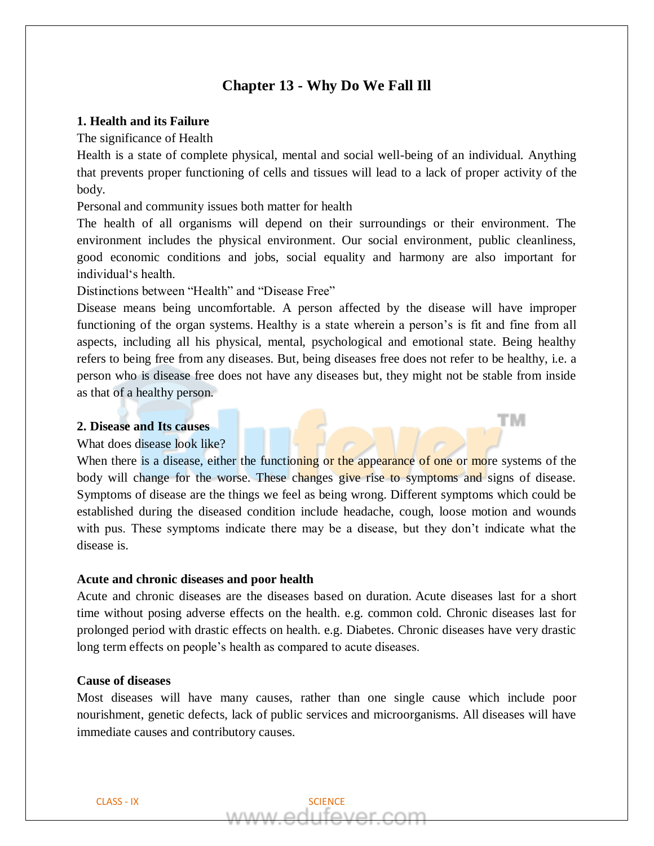# **Chapter 13 - Why Do We Fall Ill**

# **1. Health and its Failure**

The significance of Health

Health is a state of complete physical, mental and social well-being of an individual. Anything that prevents proper functioning of cells and tissues will lead to a lack of proper activity of the body.

Personal and community issues both matter for health

The health of all organisms will depend on their surroundings or their environment. The environment includes the physical environment. Our social environment, public cleanliness, good economic conditions and jobs, social equality and harmony are also important for individual's health.

Distinctions between "Health" and "Disease Free"

Disease means being uncomfortable. A person affected by the disease will have improper functioning of the organ systems. Healthy is a state wherein a person's is fit and fine from all aspects, including all his physical, mental, psychological and emotional state. Being healthy refers to being free from any diseases. But, being diseases free does not refer to be healthy, i.e. a person who is disease free does not have any diseases but, they might not be stable from inside as that of a healthy person.

тм

## **2. Disease and Its causes**

#### What does disease look like?

When there is a disease, either the functioning or the appearance of one or more systems of the body will change for the worse. These changes give rise to symptoms and signs of disease. Symptoms of disease are the things we feel as being wrong. Different symptoms which could be established during the diseased condition include headache, cough, loose motion and wounds with pus. These symptoms indicate there may be a disease, but they don't indicate what the disease is.

# **Acute and chronic diseases and poor health**

Acute and chronic diseases are the diseases based on duration. Acute diseases last for a short time without posing adverse effects on the health. e.g. common cold. Chronic diseases last for prolonged period with drastic effects on health. e.g. Diabetes. Chronic diseases have very drastic long term effects on people's health as compared to acute diseases.

## **Cause of diseases**

Most diseases will have many causes, rather than one single cause which include poor nourishment, genetic defects, lack of public services and microorganisms. All diseases will have immediate causes and contributory causes.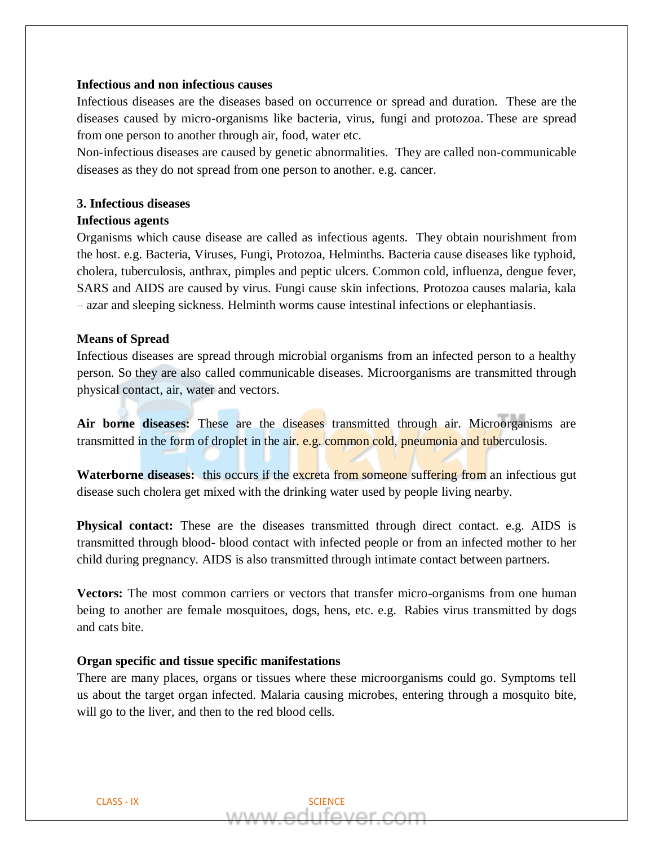## **Infectious and non infectious causes**

Infectious diseases are the diseases based on occurrence or spread and duration. These are the diseases caused by micro-organisms like bacteria, virus, fungi and protozoa. These are spread from one person to another through air, food, water etc.

Non-infectious diseases are caused by genetic abnormalities. They are called non-communicable diseases as they do not spread from one person to another. e.g. cancer.

## **3. Infectious diseases**

# **Infectious agents**

Organisms which cause disease are called as infectious agents. They obtain nourishment from the host. e.g. Bacteria, Viruses, Fungi, Protozoa, Helminths. Bacteria cause diseases like typhoid, cholera, tuberculosis, anthrax, pimples and peptic ulcers. Common cold, influenza, dengue fever, SARS and AIDS are caused by virus. Fungi cause skin infections. Protozoa causes malaria, kala – azar and sleeping sickness. Helminth worms cause intestinal infections or elephantiasis.

## **Means of Spread**

Infectious diseases are spread through microbial organisms from an infected person to a healthy person. So they are also called communicable diseases. Microorganisms are transmitted through physical contact, air, water and vectors.

Air borne diseases: These are the diseases transmitted through air. Microorganisms are transmitted in the form of droplet in the air. e.g. common cold, pneumonia and tuberculosis.

Waterborne diseases: this occurs if the excreta from someone suffering from an infectious gut disease such cholera get mixed with the drinking water used by people living nearby.

**Physical contact:** These are the diseases transmitted through direct contact. e.g. AIDS is transmitted through blood- blood contact with infected people or from an infected mother to her child during pregnancy. AIDS is also transmitted through intimate contact between partners.

**Vectors:** The most common carriers or vectors that transfer micro-organisms from one human being to another are female mosquitoes, dogs, hens, etc. e.g. Rabies virus transmitted by dogs and cats bite.

## **Organ specific and tissue specific manifestations**

There are many places, organs or tissues where these microorganisms could go. Symptoms tell us about the target organ infected. Malaria causing microbes, entering through a mosquito bite, will go to the liver, and then to the red blood cells.